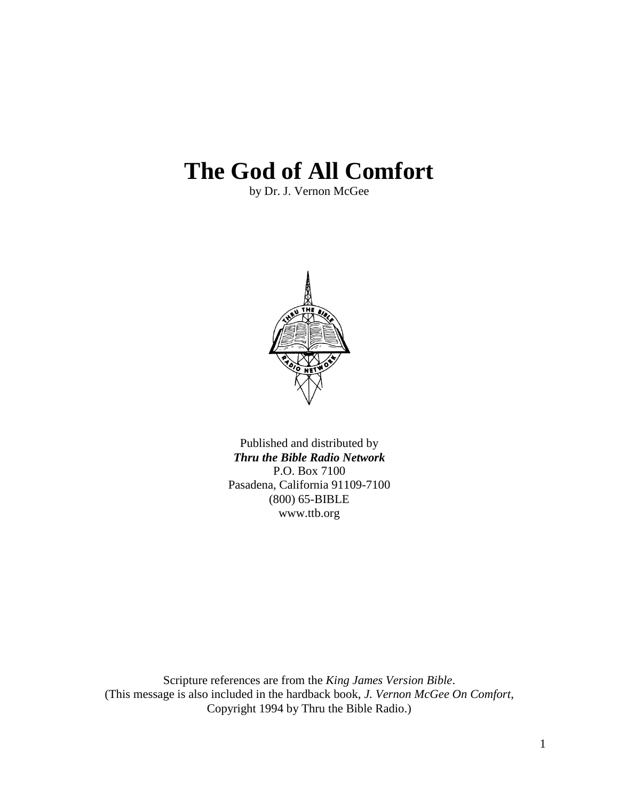# **The God of All Comfort**

by Dr. J. Vernon McGee



Published and distributed by *Thru the Bible Radio Network* P.O. Box 7100 Pasadena, California 91109-7100 (800) 65-BIBLE www.ttb.org

Scripture references are from the *King James Version Bible*. (This message is also included in the hardback book, *J. Vernon McGee On Comfort*, Copyright 1994 by Thru the Bible Radio.)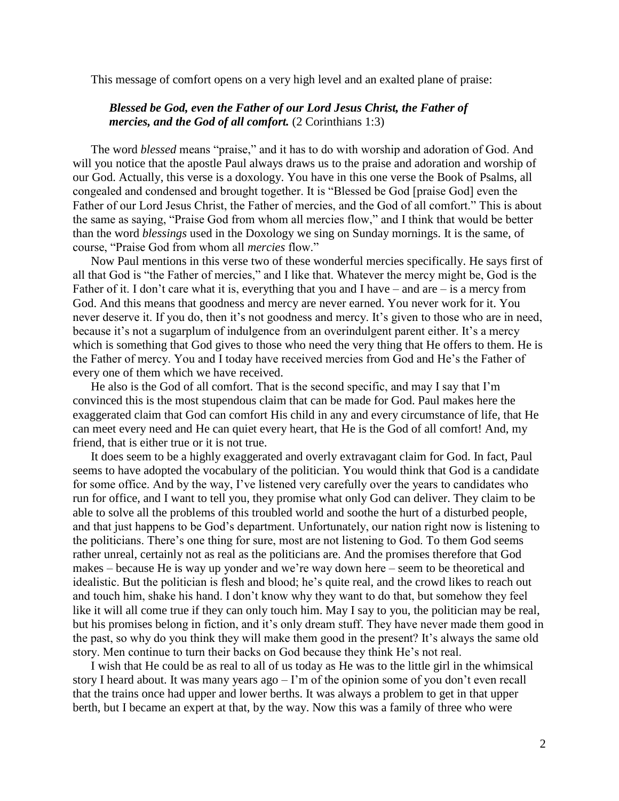This message of comfort opens on a very high level and an exalted plane of praise:

## *Blessed be God, even the Father of our Lord Jesus Christ, the Father of mercies, and the God of all comfort.* (2 Corinthians 1:3)

The word *blessed* means "praise," and it has to do with worship and adoration of God. And will you notice that the apostle Paul always draws us to the praise and adoration and worship of our God. Actually, this verse is a doxology. You have in this one verse the Book of Psalms, all congealed and condensed and brought together. It is "Blessed be God [praise God] even the Father of our Lord Jesus Christ, the Father of mercies, and the God of all comfort." This is about the same as saying, "Praise God from whom all mercies flow," and I think that would be better than the word *blessings* used in the Doxology we sing on Sunday mornings. It is the same, of course, "Praise God from whom all *mercies* flow."

Now Paul mentions in this verse two of these wonderful mercies specifically. He says first of all that God is "the Father of mercies," and I like that. Whatever the mercy might be, God is the Father of it. I don't care what it is, everything that you and I have – and are – is a mercy from God. And this means that goodness and mercy are never earned. You never work for it. You never deserve it. If you do, then it's not goodness and mercy. It's given to those who are in need, because it's not a sugarplum of indulgence from an overindulgent parent either. It's a mercy which is something that God gives to those who need the very thing that He offers to them. He is the Father of mercy. You and I today have received mercies from God and He's the Father of every one of them which we have received.

He also is the God of all comfort. That is the second specific, and may I say that I'm convinced this is the most stupendous claim that can be made for God. Paul makes here the exaggerated claim that God can comfort His child in any and every circumstance of life, that He can meet every need and He can quiet every heart, that He is the God of all comfort! And, my friend, that is either true or it is not true.

It does seem to be a highly exaggerated and overly extravagant claim for God. In fact, Paul seems to have adopted the vocabulary of the politician. You would think that God is a candidate for some office. And by the way, I've listened very carefully over the years to candidates who run for office, and I want to tell you, they promise what only God can deliver. They claim to be able to solve all the problems of this troubled world and soothe the hurt of a disturbed people, and that just happens to be God's department. Unfortunately, our nation right now is listening to the politicians. There's one thing for sure, most are not listening to God. To them God seems rather unreal, certainly not as real as the politicians are. And the promises therefore that God makes – because He is way up yonder and we're way down here – seem to be theoretical and idealistic. But the politician is flesh and blood; he's quite real, and the crowd likes to reach out and touch him, shake his hand. I don't know why they want to do that, but somehow they feel like it will all come true if they can only touch him. May I say to you, the politician may be real, but his promises belong in fiction, and it's only dream stuff. They have never made them good in the past, so why do you think they will make them good in the present? It's always the same old story. Men continue to turn their backs on God because they think He's not real.

I wish that He could be as real to all of us today as He was to the little girl in the whimsical story I heard about. It was many years ago – I'm of the opinion some of you don't even recall that the trains once had upper and lower berths. It was always a problem to get in that upper berth, but I became an expert at that, by the way. Now this was a family of three who were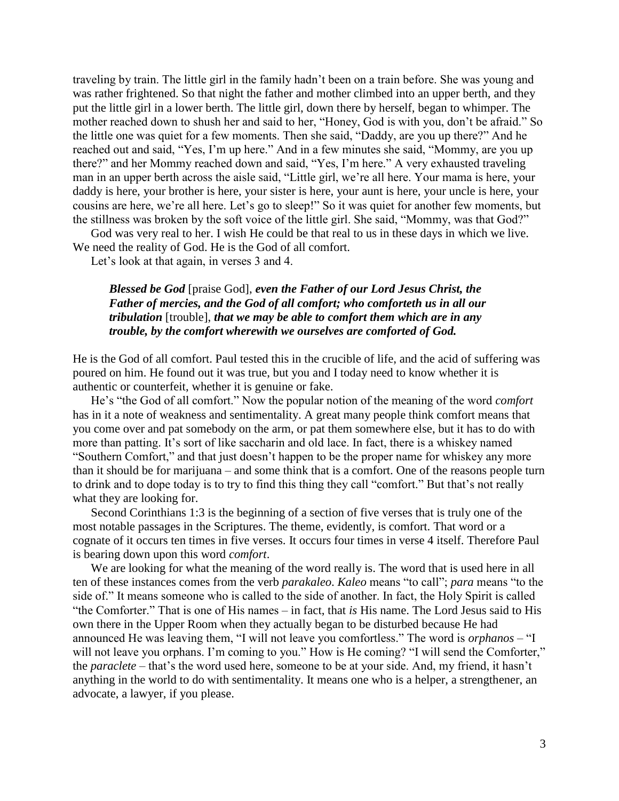traveling by train. The little girl in the family hadn't been on a train before. She was young and was rather frightened. So that night the father and mother climbed into an upper berth, and they put the little girl in a lower berth. The little girl, down there by herself, began to whimper. The mother reached down to shush her and said to her, "Honey, God is with you, don't be afraid." So the little one was quiet for a few moments. Then she said, "Daddy, are you up there?" And he reached out and said, "Yes, I'm up here." And in a few minutes she said, "Mommy, are you up there?" and her Mommy reached down and said, "Yes, I'm here." A very exhausted traveling man in an upper berth across the aisle said, "Little girl, we're all here. Your mama is here, your daddy is here, your brother is here, your sister is here, your aunt is here, your uncle is here, your cousins are here, we're all here. Let's go to sleep!" So it was quiet for another few moments, but the stillness was broken by the soft voice of the little girl. She said, "Mommy, was that God?"

God was very real to her. I wish He could be that real to us in these days in which we live. We need the reality of God. He is the God of all comfort.

Let's look at that again, in verses 3 and 4.

## *Blessed be God* [praise God], *even the Father of our Lord Jesus Christ, the Father of mercies, and the God of all comfort; who comforteth us in all our tribulation* [trouble], *that we may be able to comfort them which are in any trouble, by the comfort wherewith we ourselves are comforted of God.*

He is the God of all comfort. Paul tested this in the crucible of life, and the acid of suffering was poured on him. He found out it was true, but you and I today need to know whether it is authentic or counterfeit, whether it is genuine or fake.

He's "the God of all comfort." Now the popular notion of the meaning of the word *comfort* has in it a note of weakness and sentimentality. A great many people think comfort means that you come over and pat somebody on the arm, or pat them somewhere else, but it has to do with more than patting. It's sort of like saccharin and old lace. In fact, there is a whiskey named "Southern Comfort," and that just doesn't happen to be the proper name for whiskey any more than it should be for marijuana – and some think that is a comfort. One of the reasons people turn to drink and to dope today is to try to find this thing they call "comfort." But that's not really what they are looking for.

Second Corinthians 1:3 is the beginning of a section of five verses that is truly one of the most notable passages in the Scriptures. The theme, evidently, is comfort. That word or a cognate of it occurs ten times in five verses. It occurs four times in verse 4 itself. Therefore Paul is bearing down upon this word *comfort*.

We are looking for what the meaning of the word really is. The word that is used here in all ten of these instances comes from the verb *parakaleo*. *Kaleo* means "to call"; *para* means "to the side of." It means someone who is called to the side of another. In fact, the Holy Spirit is called "the Comforter." That is one of His names – in fact, that *is* His name. The Lord Jesus said to His own there in the Upper Room when they actually began to be disturbed because He had announced He was leaving them, "I will not leave you comfortless." The word is *orphanos* – "I will not leave you orphans. I'm coming to you." How is He coming? "I will send the Comforter," the *paraclete* – that's the word used here, someone to be at your side. And, my friend, it hasn't anything in the world to do with sentimentality. It means one who is a helper, a strengthener, an advocate, a lawyer, if you please.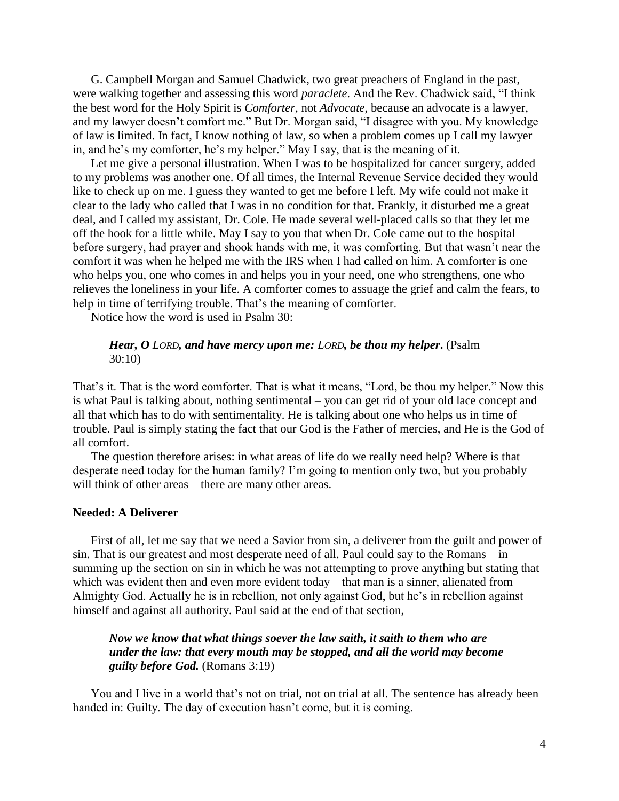G. Campbell Morgan and Samuel Chadwick, two great preachers of England in the past, were walking together and assessing this word *paraclete*. And the Rev. Chadwick said, "I think the best word for the Holy Spirit is *Comforter*, not *Advocate*, because an advocate is a lawyer, and my lawyer doesn't comfort me." But Dr. Morgan said, "I disagree with you. My knowledge of law is limited. In fact, I know nothing of law, so when a problem comes up I call my lawyer in, and he's my comforter, he's my helper." May I say, that is the meaning of it.

Let me give a personal illustration. When I was to be hospitalized for cancer surgery, added to my problems was another one. Of all times, the Internal Revenue Service decided they would like to check up on me. I guess they wanted to get me before I left. My wife could not make it clear to the lady who called that I was in no condition for that. Frankly, it disturbed me a great deal, and I called my assistant, Dr. Cole. He made several well-placed calls so that they let me off the hook for a little while. May I say to you that when Dr. Cole came out to the hospital before surgery, had prayer and shook hands with me, it was comforting. But that wasn't near the comfort it was when he helped me with the IRS when I had called on him. A comforter is one who helps you, one who comes in and helps you in your need, one who strengthens, one who relieves the loneliness in your life. A comforter comes to assuage the grief and calm the fears, to help in time of terrifying trouble. That's the meaning of comforter.

Notice how the word is used in Psalm 30:

## *Hear, O LORD, and have mercy upon me: LORD, be thou my helper***.** (Psalm 30:10)

That's it. That is the word comforter. That is what it means, "Lord, be thou my helper." Now this is what Paul is talking about, nothing sentimental – you can get rid of your old lace concept and all that which has to do with sentimentality. He is talking about one who helps us in time of trouble. Paul is simply stating the fact that our God is the Father of mercies, and He is the God of all comfort.

The question therefore arises: in what areas of life do we really need help? Where is that desperate need today for the human family? I'm going to mention only two, but you probably will think of other areas – there are many other areas.

#### **Needed: A Deliverer**

First of all, let me say that we need a Savior from sin, a deliverer from the guilt and power of sin. That is our greatest and most desperate need of all. Paul could say to the Romans – in summing up the section on sin in which he was not attempting to prove anything but stating that which was evident then and even more evident today – that man is a sinner, alienated from Almighty God. Actually he is in rebellion, not only against God, but he's in rebellion against himself and against all authority. Paul said at the end of that section,

## *Now we know that what things soever the law saith, it saith to them who are under the law: that every mouth may be stopped, and all the world may become guilty before God.* (Romans 3:19)

You and I live in a world that's not on trial, not on trial at all. The sentence has already been handed in: Guilty. The day of execution hasn't come, but it is coming.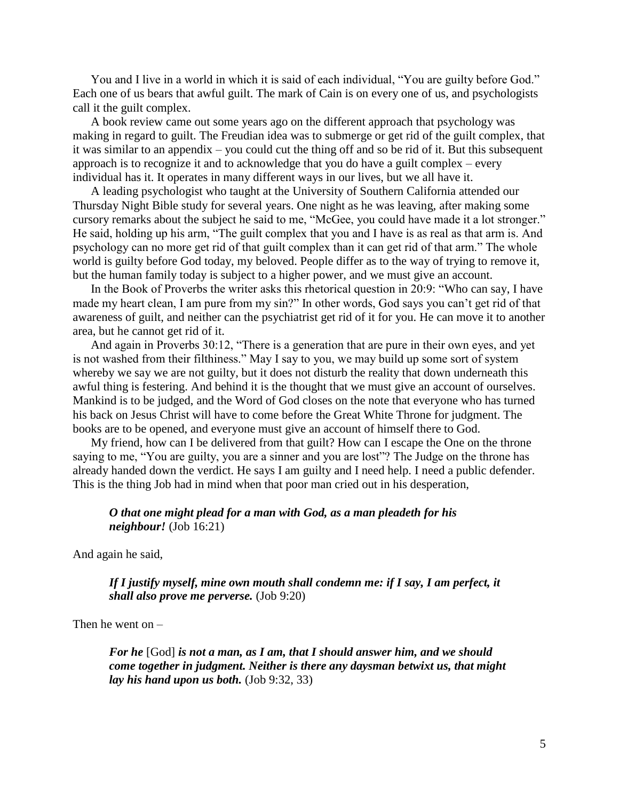You and I live in a world in which it is said of each individual, "You are guilty before God." Each one of us bears that awful guilt. The mark of Cain is on every one of us, and psychologists call it the guilt complex.

A book review came out some years ago on the different approach that psychology was making in regard to guilt. The Freudian idea was to submerge or get rid of the guilt complex, that it was similar to an appendix – you could cut the thing off and so be rid of it. But this subsequent approach is to recognize it and to acknowledge that you do have a guilt complex – every individual has it. It operates in many different ways in our lives, but we all have it.

A leading psychologist who taught at the University of Southern California attended our Thursday Night Bible study for several years. One night as he was leaving, after making some cursory remarks about the subject he said to me, "McGee, you could have made it a lot stronger." He said, holding up his arm, "The guilt complex that you and I have is as real as that arm is. And psychology can no more get rid of that guilt complex than it can get rid of that arm." The whole world is guilty before God today, my beloved. People differ as to the way of trying to remove it, but the human family today is subject to a higher power, and we must give an account.

In the Book of Proverbs the writer asks this rhetorical question in 20:9: "Who can say, I have made my heart clean, I am pure from my sin?" In other words, God says you can't get rid of that awareness of guilt, and neither can the psychiatrist get rid of it for you. He can move it to another area, but he cannot get rid of it.

And again in Proverbs 30:12, "There is a generation that are pure in their own eyes, and yet is not washed from their filthiness." May I say to you, we may build up some sort of system whereby we say we are not guilty, but it does not disturb the reality that down underneath this awful thing is festering. And behind it is the thought that we must give an account of ourselves. Mankind is to be judged, and the Word of God closes on the note that everyone who has turned his back on Jesus Christ will have to come before the Great White Throne for judgment. The books are to be opened, and everyone must give an account of himself there to God.

My friend, how can I be delivered from that guilt? How can I escape the One on the throne saying to me, "You are guilty, you are a sinner and you are lost"? The Judge on the throne has already handed down the verdict. He says I am guilty and I need help. I need a public defender. This is the thing Job had in mind when that poor man cried out in his desperation,

### *O that one might plead for a man with God, as a man pleadeth for his neighbour!* (Job 16:21)

And again he said,

*If I justify myself, mine own mouth shall condemn me: if I say, I am perfect, it shall also prove me perverse.* (Job 9:20)

Then he went on –

*For he* [God] *is not a man, as I am, that I should answer him, and we should come together in judgment. Neither is there any daysman betwixt us, that might lay his hand upon us both.* (Job 9:32, 33)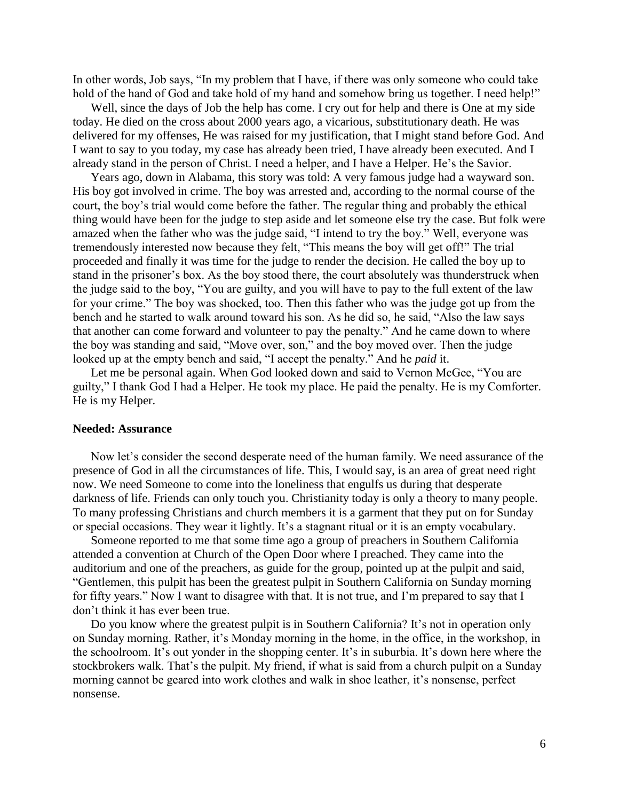In other words, Job says, "In my problem that I have, if there was only someone who could take hold of the hand of God and take hold of my hand and somehow bring us together. I need help!"

Well, since the days of Job the help has come. I cry out for help and there is One at my side today. He died on the cross about 2000 years ago, a vicarious, substitutionary death. He was delivered for my offenses, He was raised for my justification, that I might stand before God. And I want to say to you today, my case has already been tried, I have already been executed. And I already stand in the person of Christ. I need a helper, and I have a Helper. He's the Savior.

Years ago, down in Alabama, this story was told: A very famous judge had a wayward son. His boy got involved in crime. The boy was arrested and, according to the normal course of the court, the boy's trial would come before the father. The regular thing and probably the ethical thing would have been for the judge to step aside and let someone else try the case. But folk were amazed when the father who was the judge said, "I intend to try the boy." Well, everyone was tremendously interested now because they felt, "This means the boy will get off!" The trial proceeded and finally it was time for the judge to render the decision. He called the boy up to stand in the prisoner's box. As the boy stood there, the court absolutely was thunderstruck when the judge said to the boy, "You are guilty, and you will have to pay to the full extent of the law for your crime." The boy was shocked, too. Then this father who was the judge got up from the bench and he started to walk around toward his son. As he did so, he said, "Also the law says that another can come forward and volunteer to pay the penalty." And he came down to where the boy was standing and said, "Move over, son," and the boy moved over. Then the judge looked up at the empty bench and said, "I accept the penalty." And he *paid* it.

Let me be personal again. When God looked down and said to Vernon McGee, "You are guilty," I thank God I had a Helper. He took my place. He paid the penalty. He is my Comforter. He is my Helper.

#### **Needed: Assurance**

Now let's consider the second desperate need of the human family. We need assurance of the presence of God in all the circumstances of life. This, I would say, is an area of great need right now. We need Someone to come into the loneliness that engulfs us during that desperate darkness of life. Friends can only touch you. Christianity today is only a theory to many people. To many professing Christians and church members it is a garment that they put on for Sunday or special occasions. They wear it lightly. It's a stagnant ritual or it is an empty vocabulary.

Someone reported to me that some time ago a group of preachers in Southern California attended a convention at Church of the Open Door where I preached. They came into the auditorium and one of the preachers, as guide for the group, pointed up at the pulpit and said, "Gentlemen, this pulpit has been the greatest pulpit in Southern California on Sunday morning for fifty years." Now I want to disagree with that. It is not true, and I'm prepared to say that I don't think it has ever been true.

Do you know where the greatest pulpit is in Southern California? It's not in operation only on Sunday morning. Rather, it's Monday morning in the home, in the office, in the workshop, in the schoolroom. It's out yonder in the shopping center. It's in suburbia. It's down here where the stockbrokers walk. That's the pulpit. My friend, if what is said from a church pulpit on a Sunday morning cannot be geared into work clothes and walk in shoe leather, it's nonsense, perfect nonsense.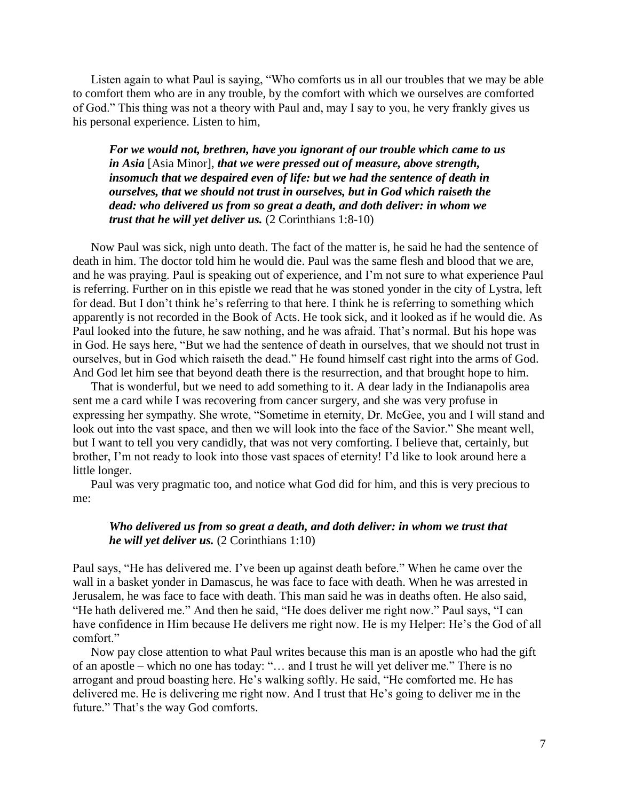Listen again to what Paul is saying, "Who comforts us in all our troubles that we may be able to comfort them who are in any trouble, by the comfort with which we ourselves are comforted of God." This thing was not a theory with Paul and, may I say to you, he very frankly gives us his personal experience. Listen to him,

*For we would not, brethren, have you ignorant of our trouble which came to us in Asia* [Asia Minor], *that we were pressed out of measure, above strength, insomuch that we despaired even of life: but we had the sentence of death in ourselves, that we should not trust in ourselves, but in God which raiseth the dead: who delivered us from so great a death, and doth deliver: in whom we trust that he will yet deliver us.* (2 Corinthians 1:8-10)

Now Paul was sick, nigh unto death. The fact of the matter is, he said he had the sentence of death in him. The doctor told him he would die. Paul was the same flesh and blood that we are, and he was praying. Paul is speaking out of experience, and I'm not sure to what experience Paul is referring. Further on in this epistle we read that he was stoned yonder in the city of Lystra, left for dead. But I don't think he's referring to that here. I think he is referring to something which apparently is not recorded in the Book of Acts. He took sick, and it looked as if he would die. As Paul looked into the future, he saw nothing, and he was afraid. That's normal. But his hope was in God. He says here, "But we had the sentence of death in ourselves, that we should not trust in ourselves, but in God which raiseth the dead." He found himself cast right into the arms of God. And God let him see that beyond death there is the resurrection, and that brought hope to him.

That is wonderful, but we need to add something to it. A dear lady in the Indianapolis area sent me a card while I was recovering from cancer surgery, and she was very profuse in expressing her sympathy. She wrote, "Sometime in eternity, Dr. McGee, you and I will stand and look out into the vast space, and then we will look into the face of the Savior." She meant well, but I want to tell you very candidly, that was not very comforting. I believe that, certainly, but brother, I'm not ready to look into those vast spaces of eternity! I'd like to look around here a little longer.

Paul was very pragmatic too, and notice what God did for him, and this is very precious to me:

## *Who delivered us from so great a death, and doth deliver: in whom we trust that he will yet deliver us.* (2 Corinthians 1:10)

Paul says, "He has delivered me. I've been up against death before." When he came over the wall in a basket yonder in Damascus, he was face to face with death. When he was arrested in Jerusalem, he was face to face with death. This man said he was in deaths often. He also said, "He hath delivered me." And then he said, "He does deliver me right now." Paul says, "I can have confidence in Him because He delivers me right now. He is my Helper: He's the God of all comfort."

Now pay close attention to what Paul writes because this man is an apostle who had the gift of an apostle – which no one has today: "… and I trust he will yet deliver me." There is no arrogant and proud boasting here. He's walking softly. He said, "He comforted me. He has delivered me. He is delivering me right now. And I trust that He's going to deliver me in the future." That's the way God comforts.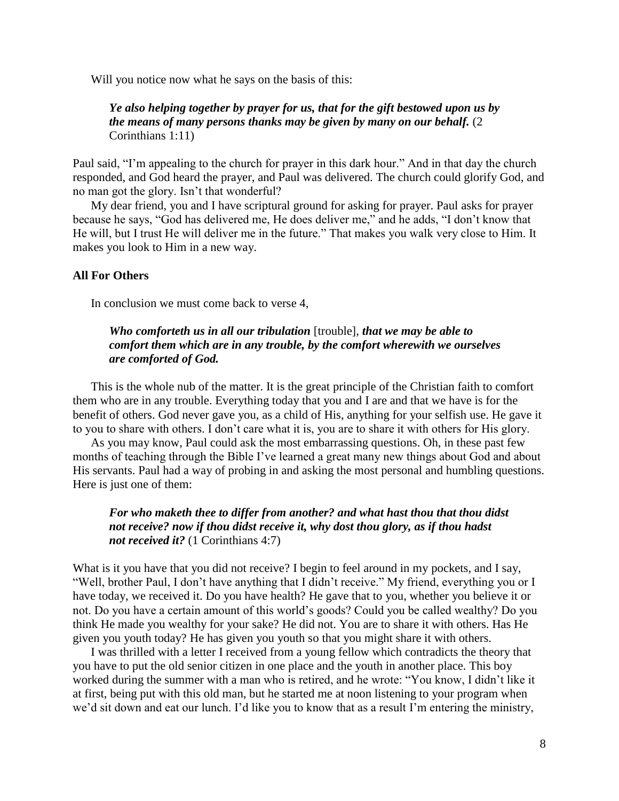Will you notice now what he says on the basis of this:

*Ye also helping together by prayer for us, that for the gift bestowed upon us by the means of many persons thanks may be given by many on our behalf.* (2 Corinthians 1:11)

Paul said, "I'm appealing to the church for prayer in this dark hour." And in that day the church responded, and God heard the prayer, and Paul was delivered. The church could glorify God, and no man got the glory. Isn't that wonderful?

My dear friend, you and I have scriptural ground for asking for prayer. Paul asks for prayer because he says, "God has delivered me, He does deliver me," and he adds, "I don't know that He will, but I trust He will deliver me in the future." That makes you walk very close to Him. It makes you look to Him in a new way.

#### **All For Others**

In conclusion we must come back to verse 4,

## *Who comforteth us in all our tribulation* [trouble], *that we may be able to comfort them which are in any trouble, by the comfort wherewith we ourselves are comforted of God.*

This is the whole nub of the matter. It is the great principle of the Christian faith to comfort them who are in any trouble. Everything today that you and I are and that we have is for the benefit of others. God never gave you, as a child of His, anything for your selfish use. He gave it to you to share with others. I don't care what it is, you are to share it with others for His glory.

As you may know, Paul could ask the most embarrassing questions. Oh, in these past few months of teaching through the Bible I've learned a great many new things about God and about His servants. Paul had a way of probing in and asking the most personal and humbling questions. Here is just one of them:

## *For who maketh thee to differ from another? and what hast thou that thou didst not receive? now if thou didst receive it, why dost thou glory, as if thou hadst not received it?* (1 Corinthians 4:7)

What is it you have that you did not receive? I begin to feel around in my pockets, and I say, "Well, brother Paul, I don't have anything that I didn't receive." My friend, everything you or I have today, we received it. Do you have health? He gave that to you, whether you believe it or not. Do you have a certain amount of this world's goods? Could you be called wealthy? Do you think He made you wealthy for your sake? He did not. You are to share it with others. Has He given you youth today? He has given you youth so that you might share it with others.

I was thrilled with a letter I received from a young fellow which contradicts the theory that you have to put the old senior citizen in one place and the youth in another place. This boy worked during the summer with a man who is retired, and he wrote: "You know, I didn't like it at first, being put with this old man, but he started me at noon listening to your program when we'd sit down and eat our lunch. I'd like you to know that as a result I'm entering the ministry,